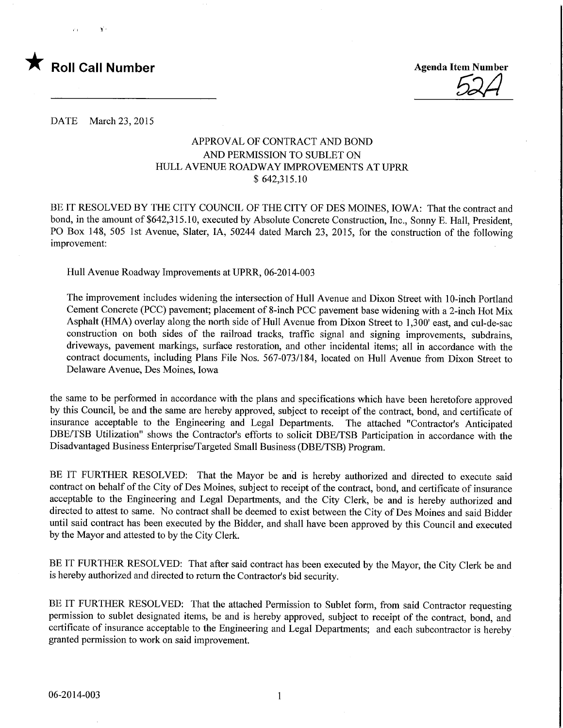

 $\chi^{\prime}$  :

**Agenda Item Number** 

DATE March 23, 2015

### APPROVAL OF CONTRACT AND BOND AND PERMISSION TO SUBLET ON HULL AVENUE ROADWAY IMPROVEMENTS AT UPRR \$ 642,315.10

BE IT RESOLVED BY THE CITY COUNCIL OF THE CITY OF DES MOINES, IOWA: That the contract and bond, in the amount of \$642,315.10, executed by Absolute Concrete Construction, Inc., Sonny E. Hall, President, PO Box 148, 505 1st Avenue, Slater, IA, 50244 dated March 23, 2015, for the construction of the following improvement:

Hull Avenue Roadway Improvements at UPRR, 06-2014-003

The improvement includes widening the intersection of Hull Avenue and Dixon Street with 10-inch Portland Cement Concrete (PCC) pavement; placement of 8-inch PCC pavement base widening with a 2-inch Hot Mix Asphalt (HMA) overlay along the north side of Hull Avenue from Dixon Street to 1,300' east, and cul-de-sac construction on both sides of the railroad tracks, traffic signal and signing improvements, subdrains, driveways, pavement markings, surface restoration, and other incidental items; all in accordance with the contract documents, including Plans File Nos. 567-073/184, located on Hull Avenue from Dixon Street to Delaware Avenue, Des Moines, Iowa

the same to be performed in accordance with the plans and specifications which have been heretofore approved by this Council, be and the same are hereby approved, subject to receipt of the contract, bond, and certificate of insurance acceptable to the Engineering and Legal Departments. The attached "Contractor's Anticipated DBE/TSB Utilization" shows the Contractor's efforts to solicit DBE/TSB Participation in accordance with the Disadvantaged Business Enterprise/Targeted Small Business (DBE/TSB) Program.

BE IT FURTHER RESOLVED: That the Mayor be and is hereby authorized and directed to execute said contract on behalf of the City of Des Moines, subject to receipt of the contract, bond, and certificate of insurance acceptable to the Engineering and Legal Departments, and the City Clerk, be and is hereby authorized and directed to attest to same. No contract shall be deemed to exist between the City of Des Moines and said Bidder until said contract has been executed by the Bidder, and shall have been approved by this Council and executed by the Mayor and attested to by the City Clerk.

BE IT FURTHER RESOLVED: That after said contract has been executed by the Mayor, the City Clerk be and is hereby authorized and directed to return the Contractor's bid security.

BE IT FURTHER RESOLVED: That the attached Permission to Sublet form, from said Contractor requesting permission to sublet designated items, be and is hereby approved, subject to receipt of the contract, bond, and certificate of insurance acceptable to the Engineering and Legal Departments; and each subcontractor is hereby granted permission to work on said improvement.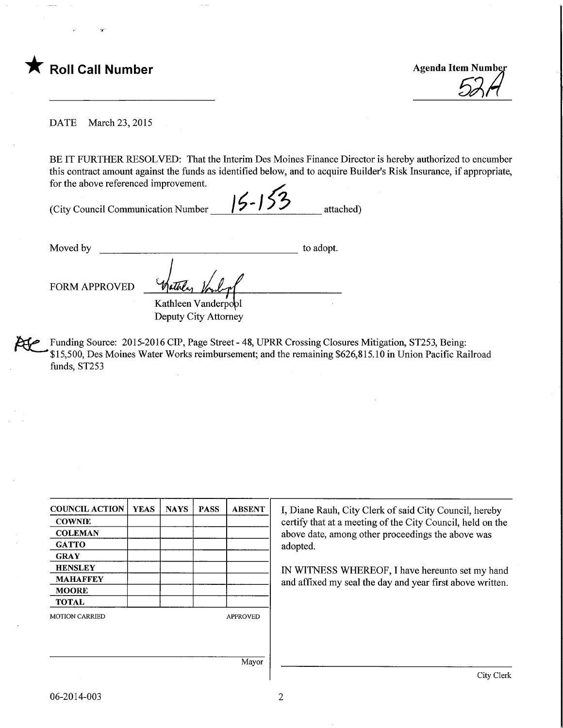

DATE March 23, 2015

BE IT FURTHER RESOLVED: That the Interim Des Moines Finance Director is hereby authorized to encumber this contract amount against the funds as identified below, and to acquire Builder's Risk Insurance, if appropriate, for the above referenced improvement.

(City Council Communication Number  $\frac{15-153}{}$  attached)

Moved by to adopt.

FORM APPROVED

Kathleen Vanderpool Deputy City Attorney

Funding Source: 2015-2016 CIP, Page Street - 48, UPRR Crossing Closures Mitigation, ST253, Being: \$15,500, Des Moines Water Works reimbursement; and the remaining \$626,815.10 in Union Pacific Railroad funds, ST253

| <b>COUNCIL ACTION</b> | <b>YEAS</b> | <b>NAYS</b> | <b>PASS</b> | <b>ABSENT</b>   |
|-----------------------|-------------|-------------|-------------|-----------------|
| <b>COWNIE</b>         |             |             |             |                 |
| <b>COLEMAN</b>        |             |             |             |                 |
| <b>GATTO</b>          |             |             |             |                 |
| <b>GRAY</b>           |             |             |             |                 |
| <b>HENSLEY</b>        |             |             |             |                 |
| <b>MAHAFFEY</b>       |             |             |             |                 |
| <b>MOORE</b>          |             |             |             |                 |
| <b>TOTAL</b>          |             |             |             |                 |
| <b>MOTION CARRIED</b> |             |             |             | <b>APPROVED</b> |
|                       |             |             |             |                 |
|                       |             |             |             |                 |
|                       |             |             |             | Mayor           |
|                       |             |             |             |                 |

I, Diane Rauh, City Clerk of said City Council, hereby certify that at a meeting of the City Council, held on the above date, among other proceedings the above was adopted.

IN WITNESS WHEREOF, I have hereunto set my hand and affixed my seal the day and year first above written.

City Clerk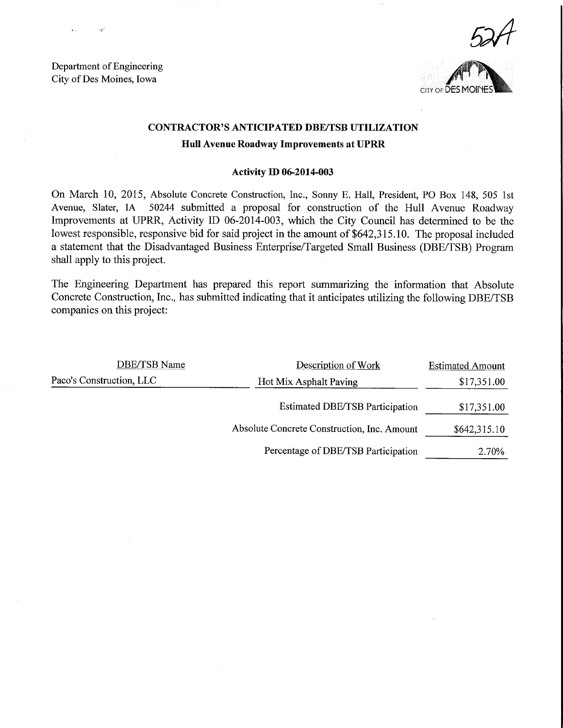Department of Engineering City of Des Moines, Iowa





## CONTRACTOR'S ANTICIPATED DBE/TSB UTILIZATION Hull Avenue Roadway Improvements at UPRR

#### Activity D) 06-2014-003

On March 10, 2015, Absolute Concrete Construction, Inc., Sonny E. Hall, President, PO Box 148, 505 1st Avenue, Slater, IA 50244 submitted a proposal for construction of the Hull Avenue Roadway Improvements at UPRR, Activity ID 06-2014-003, which the City Council has determined to be the lowest responsible, responsive bid for said project in the amount of \$642,315.10. The proposal included a statement that the Disadvantaged Business Enterprise/Targeted Small Business (DBE/TSB) Program shall apply to this project.

The Engineering Department has prepared this report summarizing the information that Absolute Concrete Construction, Inc., has submitted indicating that it anticipates utilizing the following DBE/TSB companies on this project:

| DBE/TSB Name             | Description of Work                         | <b>Estimated Amount</b> |
|--------------------------|---------------------------------------------|-------------------------|
| Paco's Construction, LLC | Hot Mix Asphalt Paving                      |                         |
|                          | <b>Estimated DBE/TSB Participation</b>      | \$17,351.00             |
|                          | Absolute Concrete Construction, Inc. Amount | \$642,315.10            |
|                          | Percentage of DBE/TSB Participation         | 2.70%                   |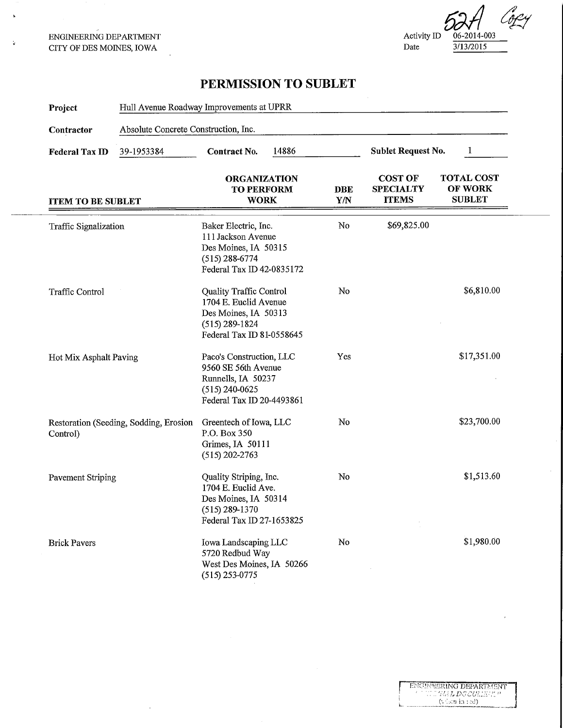ENGINEERING DEPARTMENT CITY OF DES MOINES, IOWA

i.

Å,

Copy Activity ID  $\frac{06-2014-003}{3/13/2015}$  $3/13/2015$ 

# PERMISSION TO SUBLET

| Project                  | Hull Avenue Roadway Improvements at UPRR |                                                                                                                             |                          |                                                    |                                               |
|--------------------------|------------------------------------------|-----------------------------------------------------------------------------------------------------------------------------|--------------------------|----------------------------------------------------|-----------------------------------------------|
| Contractor               | Absolute Concrete Construction, Inc.     |                                                                                                                             |                          |                                                    |                                               |
| <b>Federal Tax ID</b>    | 39-1953384                               | 14886<br>Contract No.                                                                                                       |                          | <b>Sublet Request No.</b>                          | 1                                             |
| <b>ITEM TO BE SUBLET</b> |                                          | <b>ORGANIZATION</b><br><b>TO PERFORM</b><br><b>WORK</b>                                                                     | <b>DBE</b><br><b>Y/N</b> | <b>COST OF</b><br><b>SPECIALTY</b><br><b>ITEMS</b> | <b>TOTAL COST</b><br>OF WORK<br><b>SUBLET</b> |
| Traffic Signalization    |                                          | Baker Electric, Inc.<br>111 Jackson Avenue<br>Des Moines, IA 50315<br>$(515)$ 288-6774<br>Federal Tax ID 42-0835172         | No                       | \$69,825.00                                        |                                               |
| <b>Traffic Control</b>   |                                          | Quality Traffic Control<br>1704 E. Euclid Avenue<br>Des Moines, IA 50313<br>$(515) 289 - 1824$<br>Federal Tax ID 81-0558645 | No                       |                                                    | \$6,810.00                                    |
| Hot Mix Asphalt Paving   |                                          | Paco's Construction, LLC<br>9560 SE 56th Avenue<br>Runnells, IA 50237<br>$(515)$ 240-0625<br>Federal Tax ID 20-4493861      | Yes                      |                                                    | \$17,351.00                                   |
| Control)                 | Restoration (Seeding, Sodding, Erosion   | Greentech of Iowa, LLC<br>P.O. Box 350<br>Grimes, IA 50111<br>$(515)$ 202-2763                                              | No                       |                                                    | \$23,700.00                                   |
| <b>Pavement Striping</b> |                                          | Quality Striping, Inc.<br>1704 E. Euclid Ave.<br>Des Moines, IA 50314<br>$(515) 289 - 1370$<br>Federal Tax ID 27-1653825    | No                       |                                                    | \$1,513.60                                    |
| <b>Brick Pavers</b>      |                                          | Iowa Landscaping LLC<br>5720 Redbud Way<br>West Des Moines, IA 50266<br>$(515)$ 253-0775                                    | No                       |                                                    | \$1,980.00                                    |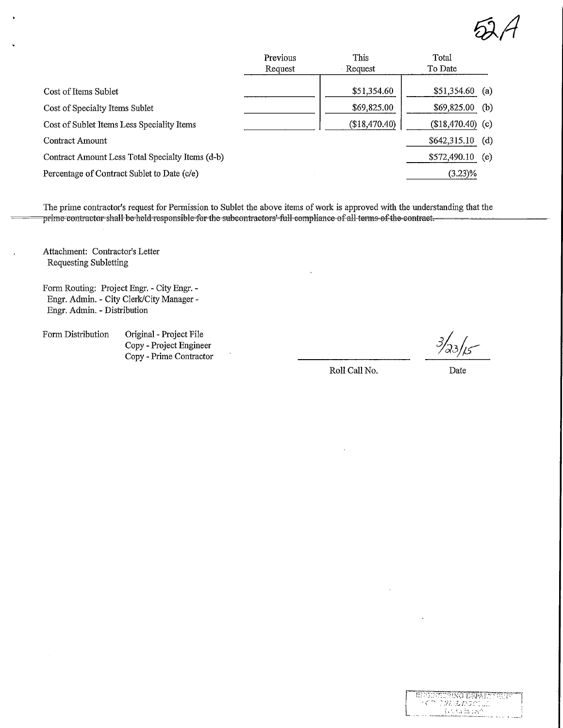$A\otimes A$ 

|                                                  | Previous | This          | Total            |     |
|--------------------------------------------------|----------|---------------|------------------|-----|
|                                                  | Request  | Request       | To Date          |     |
| Cost of Items Sublet                             |          | \$51,354.60   | \$51,354.60      | (a) |
| Cost of Specialty Items Sublet                   |          | \$69,825.00   | \$69,825.00      | (b) |
| Cost of Sublet Items Less Speciality Items       |          | (\$18,470.40) | $$18,470.40$ (c) |     |
| <b>Contract Amount</b>                           |          |               | \$642,315.10     | (d) |
| Contract Amount Less Total Specialty Items (d-b) |          |               | \$572,490.10     | (e) |
| Percentage of Contract Sublet to Date (c/e)      |          |               | $(3.23)\%$       |     |
|                                                  |          |               |                  |     |

The prime contractor's request for Permission to Sublet the above items of work is approved with the understanding that the prime contractor shall be held responsible for the subcontractors' full compliance of all terms of

Attachment: Contractor's Letter Requesting Subletting

Form Routing: Project Engr. - City Engr. - Engr. Admin. - City Clerk/City Manager - Engr. Admin. - Distribution

Form Distribution Original - Project File Copy - Project Engineer Copy - Prime Contractor

 $3/23/15$ 

Roll Call No.

Date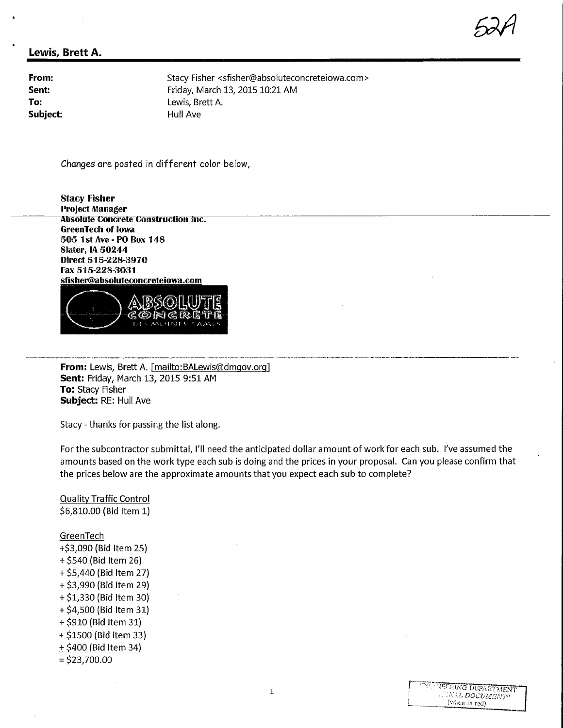# $52A$

#### Lewis, Brett A.

Subject: Hull Ave

From: Stacy Fisher <sfisher@absoluteconcreteiowa.com> **Sent:** Friday, March 13, 2015 10:21 AM<br> **To:** Lewis. Brett A. To: Lewis, Brett A.<br>
Subiect: Subiect: Hull Ave

Changes are posted in different color below,

Stacy Fisher Project Manager Absolute Concrete Construction Inc. GrecmTedi of Iowa 505 IstAve-POBox 148 Slater, IA 50244 Direct 515-228-397® Fax 515-228-3031 sfisher@absoluteconcreteiowa.com



From: Lewis, Brett A. [mailto: BALewis@dmgov.org] Sent: Friday, March 13, 2015 9:51 AM **To: Stacy Fisher** Subject: RE: Hull Ave

Stacy - thanks for passing the list along.

For the subcontractor submittal, I'll need the anticipated dollar amount of work for each sub. I've assumed the amounts based on the work type each sub is doing and the prices in your proposal. Can you please confirm that the prices below are the approximate amounts that you expect each sub to complete?

Quality Traffic Control \$6,810.00 (Bid Item 1)

**GreenTech** 

- +\$3,090 (Bid Item 25) + \$540 (Bid Item 26) + \$5,440 (Bid Item 27) +\$3,990 (Bid Item 29) +\$1,330 (Bid Item 30) +\$4,500 (Bid Item 31)
- +\$910 (Bid Item 31)
- + \$1500 (Bid item 33)
- + \$400 (Bid Item 34)
- $=$  \$23,700.00

| <b>INFONEDRING DEPARTMENT</b> |
|-------------------------------|
| WALDOCUMENT                   |
| $(vdelta)$ in red)            |